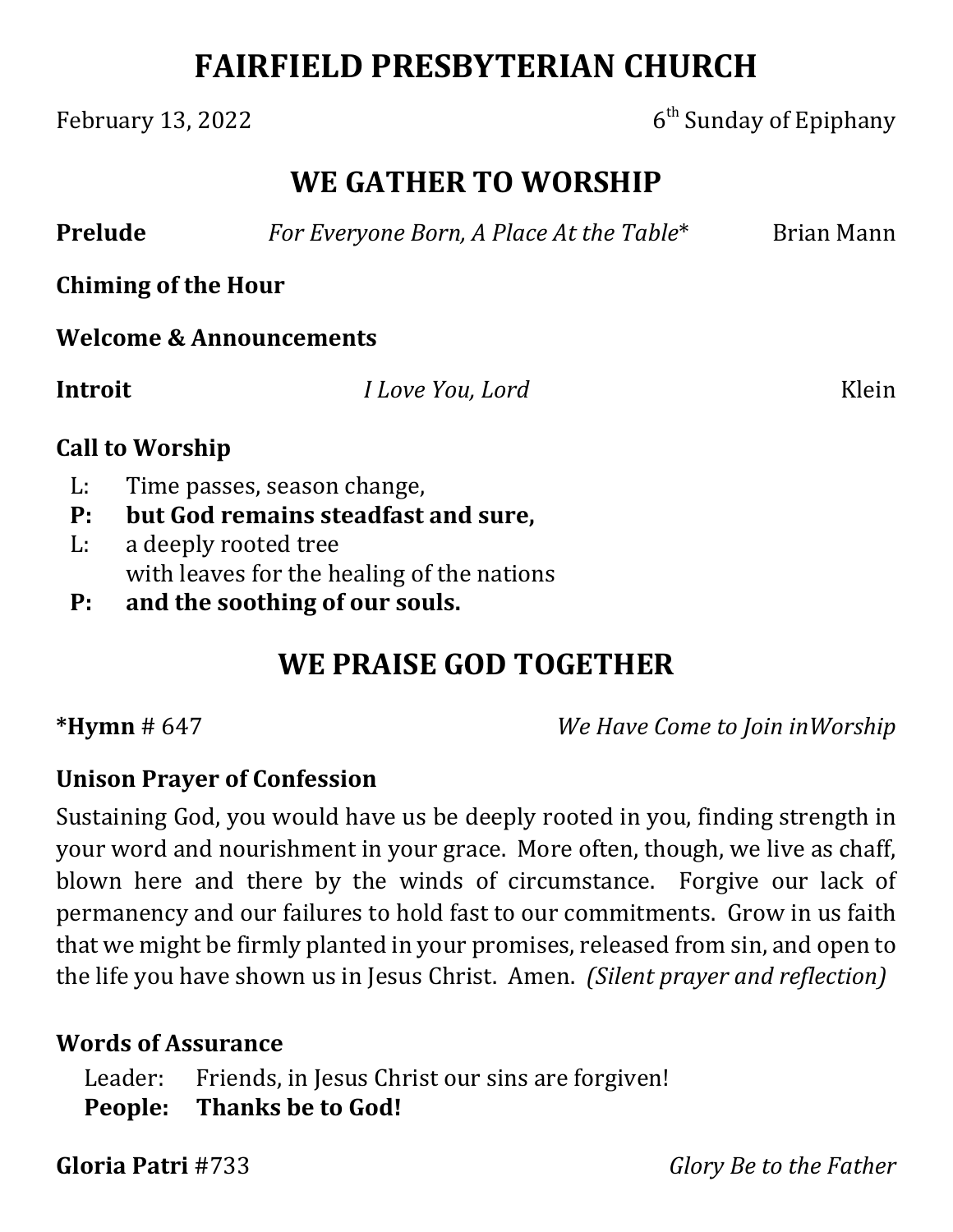# **FAIRFIELD PRESBYTERIAN CHURCH**

### February 13, 2022  $6<sup>th</sup>$  Sunday of Epiphany

# **WE GATHER TO WORSHIP**

**Prelude** *For Everyone Born, A Place At the Table*\* Brian Mann

**Chiming of the Hour**

**Welcome & Announcements**

**Introit**  *I Love You, Lord* Klein

#### **Call to Worship**

- L: Time passes, season change,
- **P: but God remains steadfast and sure,**
- L: a deeply rooted tree with leaves for the healing of the nations
- **P: and the soothing of our souls.**

# **WE PRAISE GOD TOGETHER**

**\*Hymn** # 647 *We Have Come to Join inWorship*

#### **Unison Prayer of Confession**

Sustaining God, you would have us be deeply rooted in you, finding strength in your word and nourishment in your grace. More often, though, we live as chaff, blown here and there by the winds of circumstance. Forgive our lack of permanency and our failures to hold fast to our commitments. Grow in us faith that we might be firmly planted in your promises, released from sin, and open to the life you have shown us in Jesus Christ. Amen. *(Silent prayer and reflection)*

#### **Words of Assurance**

Leader: Friends, in Jesus Christ our sins are forgiven! **People: Thanks be to God!**

**Gloria Patri** #733 *Glory Be to the Father*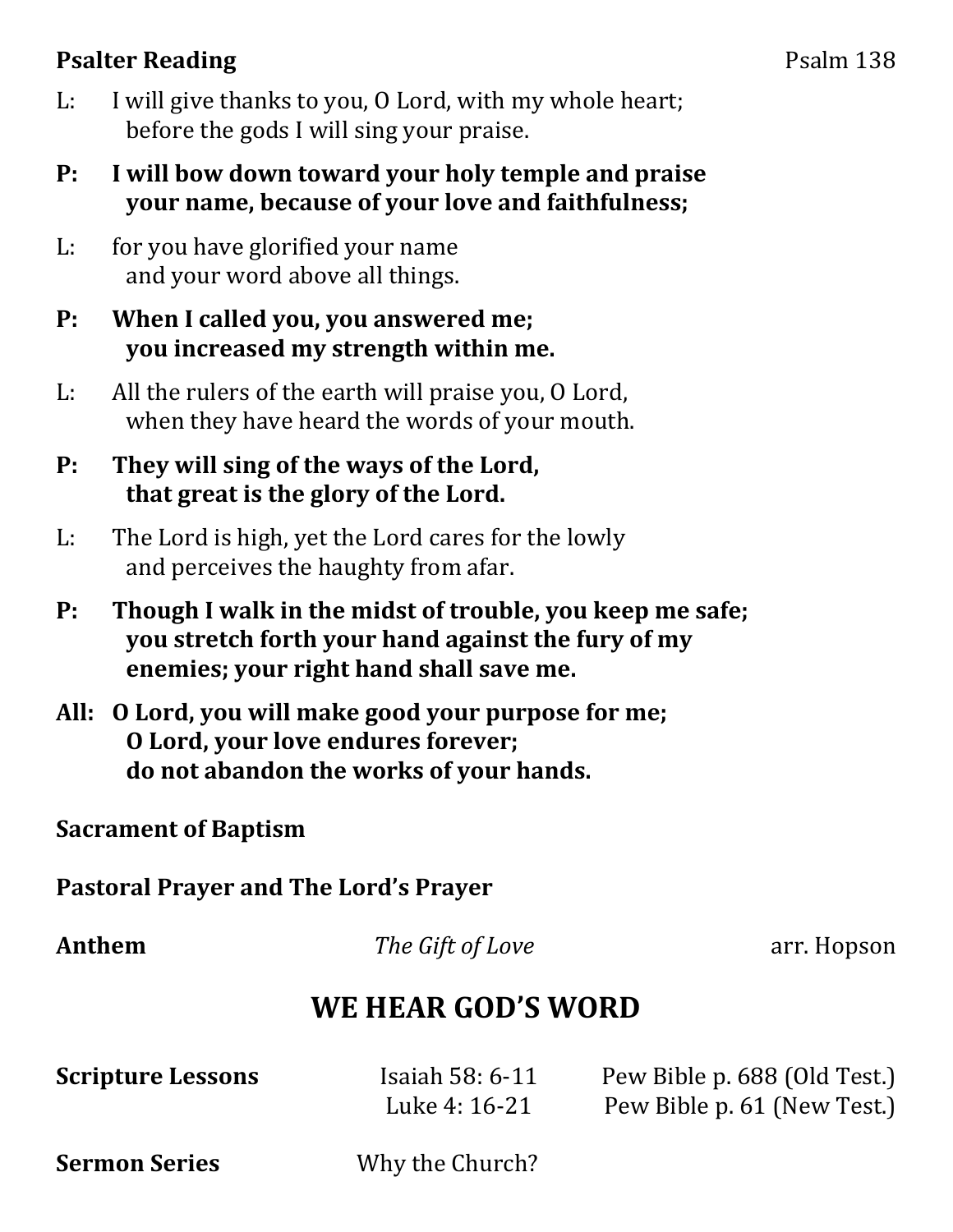### **Psalter Reading** Psalm 138

- L: I will give thanks to you, O Lord, with my whole heart; before the gods I will sing your praise.
- **P: I will bow down toward your holy temple and praise your name, because of your love and faithfulness;**
- L: for you have glorified your name and your word above all things.

#### **P: When I called you, you answered me; you increased my strength within me.**

- L: All the rulers of the earth will praise you, O Lord, when they have heard the words of your mouth.
- **P: They will sing of the ways of the Lord, that great is the glory of the Lord.**
- L: The Lord is high, yet the Lord cares for the lowly and perceives the haughty from afar.
- **P: Though I walk in the midst of trouble, you keep me safe; you stretch forth your hand against the fury of my enemies; your right hand shall save me.**
- **All: O Lord, you will make good your purpose for me; O Lord, your love endures forever; do not abandon the works of your hands.**

#### **Sacrament of Baptism**

**Pastoral Prayer and The Lord's Prayer**

**Anthem** *<i>The Gift of Love* arr. Hopson

# **WE HEAR GOD'S WORD**

| <b>Scripture Lessons</b> | Isaiah $58:6-11$ | Pew Bible p. 688 (Old Test.) |
|--------------------------|------------------|------------------------------|
|                          | Luke 4: 16-21    | Pew Bible p. 61 (New Test.)  |

**Sermon Series** Why the Church?